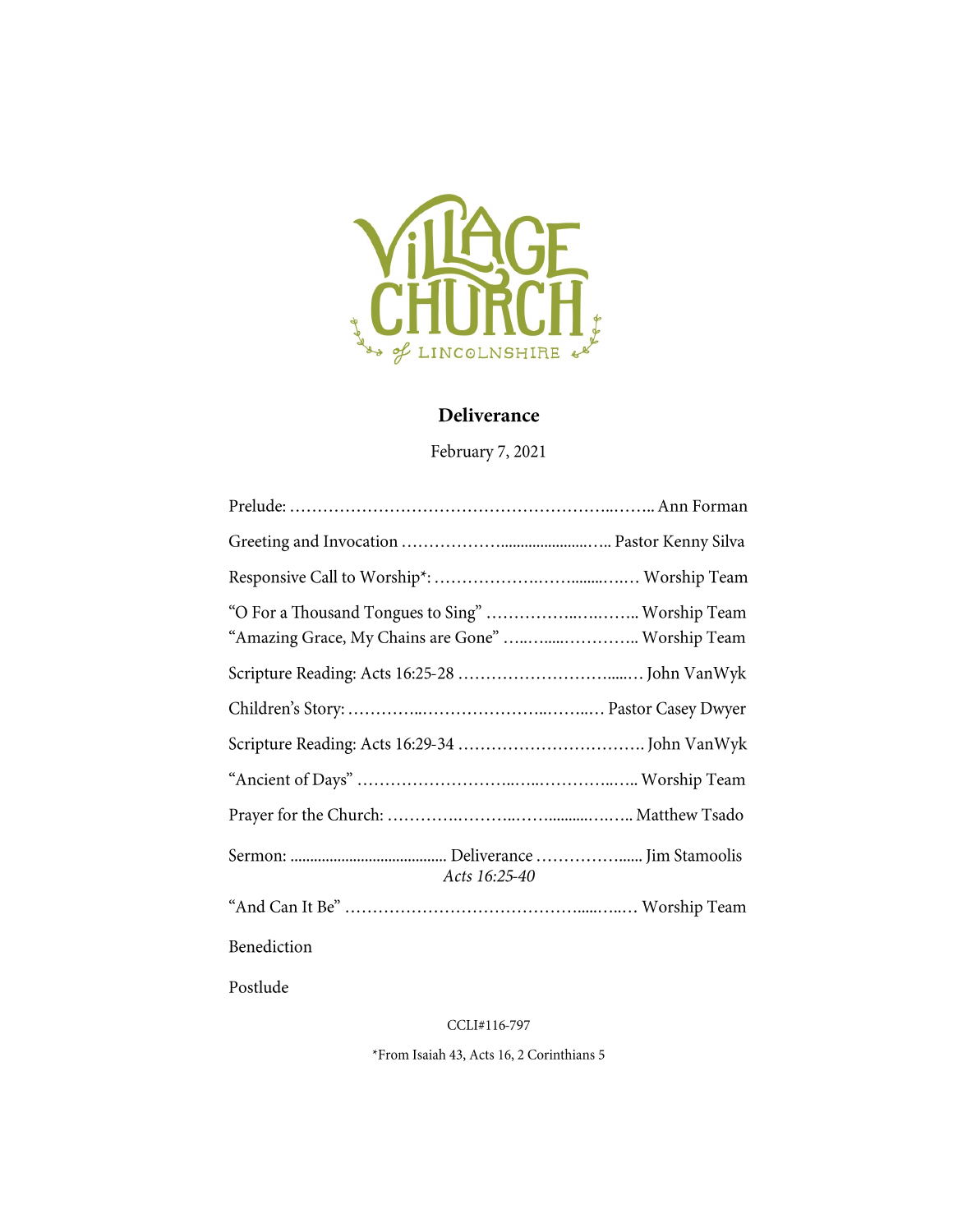

#### Deliverance

February 7, 2021

| "O For a Thousand Tongues to Sing"  Worship Team<br>"Amazing Grace, My Chains are Gone"  Worship Team |  |
|-------------------------------------------------------------------------------------------------------|--|
|                                                                                                       |  |
|                                                                                                       |  |
|                                                                                                       |  |
|                                                                                                       |  |
|                                                                                                       |  |
| Acts 16:25-40                                                                                         |  |
|                                                                                                       |  |
| Benediction                                                                                           |  |

Postlude

#### CCLI#116-797

\*From Isaiah 43, Acts 16, 2 Corinthians 5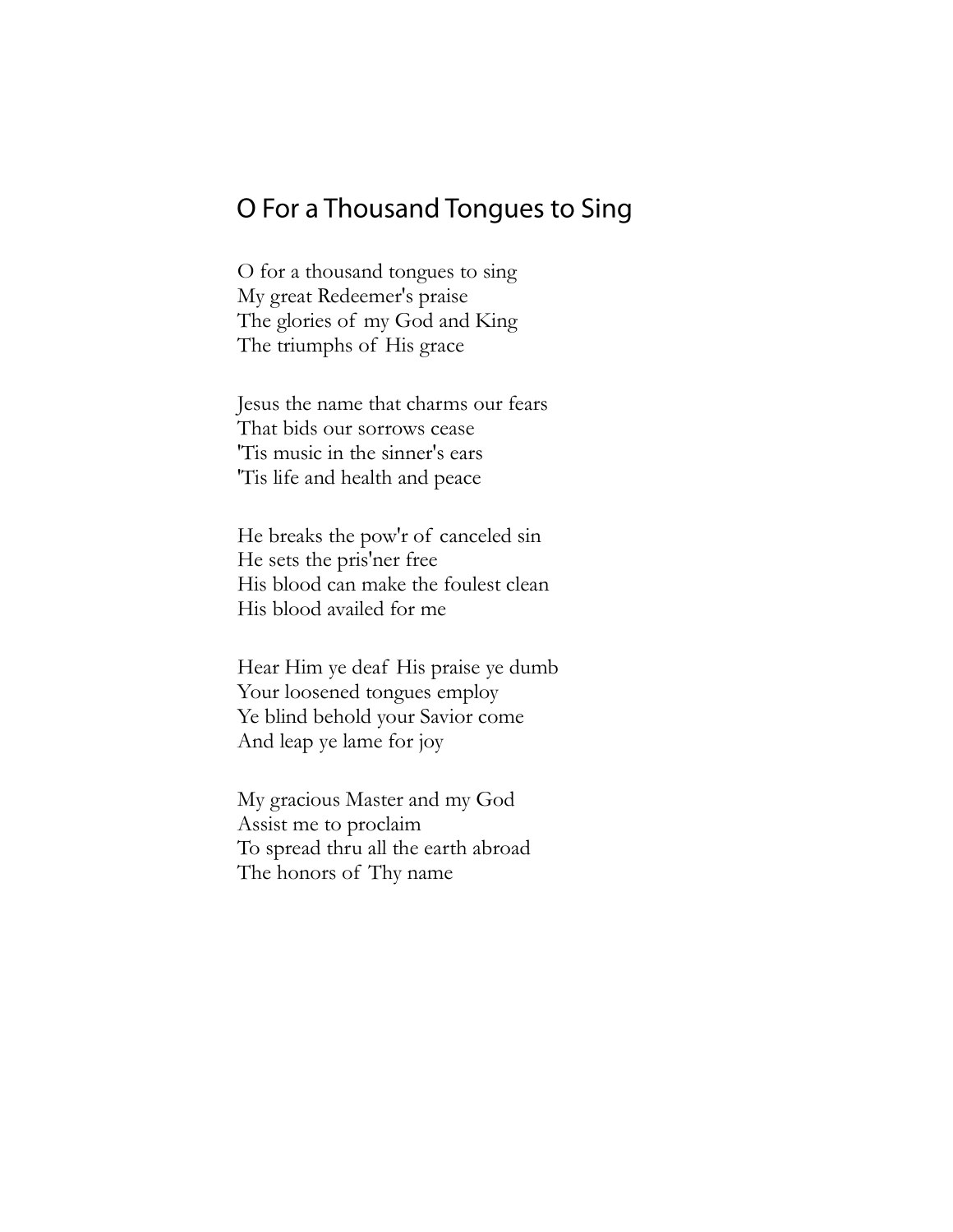#### O For a Thousand Tongues to Sing

O for a thousand tongues to sing My great Redeemer's praise The glories of my God and King The triumphs of His grace

Jesus the name that charms our fears That bids our sorrows cease 'Tis music in the sinner's ears 'Tis life and health and peace

He breaks the pow'r of canceled sin He sets the pris'ner free His blood can make the foulest clean His blood availed for me

Hear Him ye deaf His praise ye dumb Your loosened tongues employ Ye blind behold your Savior come And leap ye lame for joy

My gracious Master and my God Assist me to proclaim To spread thru all the earth abroad The honors of Thy name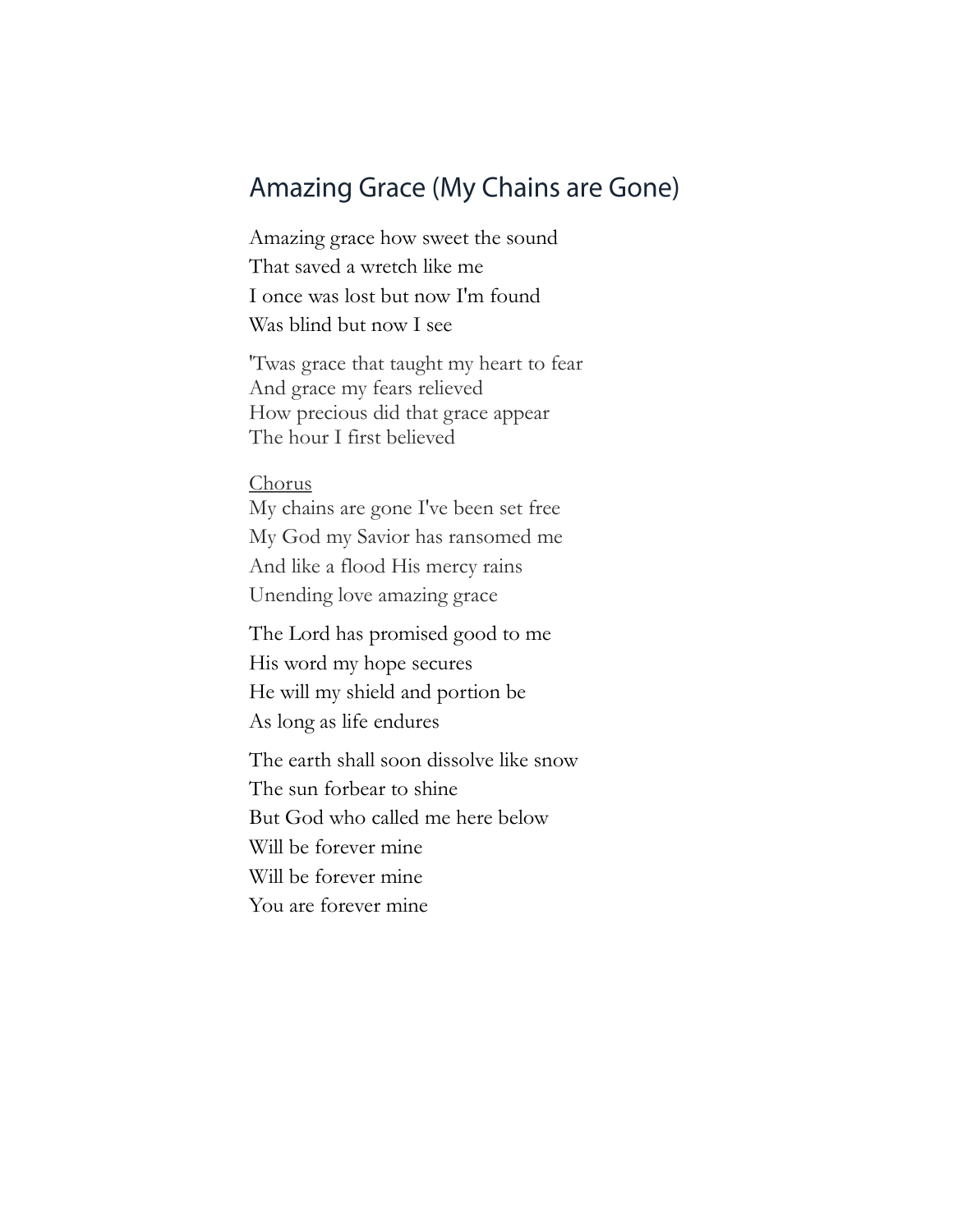# Amazing Grace (My Chains are Gone)

Amazing grace how sweet the sound That saved a wretch like me I once was lost but now I'm found Was blind but now I see

'Twas grace that taught my heart to fear And grace my fears relieved How precious did that grace appear The hour I first believed

Chorus

My chains are gone I've been set free My God my Savior has ransomed me And like a flood His mercy rains Unending love amazing grace

The Lord has promised good to me His word my hope secures He will my shield and portion be As long as life endures

The earth shall soon dissolve like snow The sun forbear to shine But God who called me here below Will be forever mine Will be forever mine You are forever mine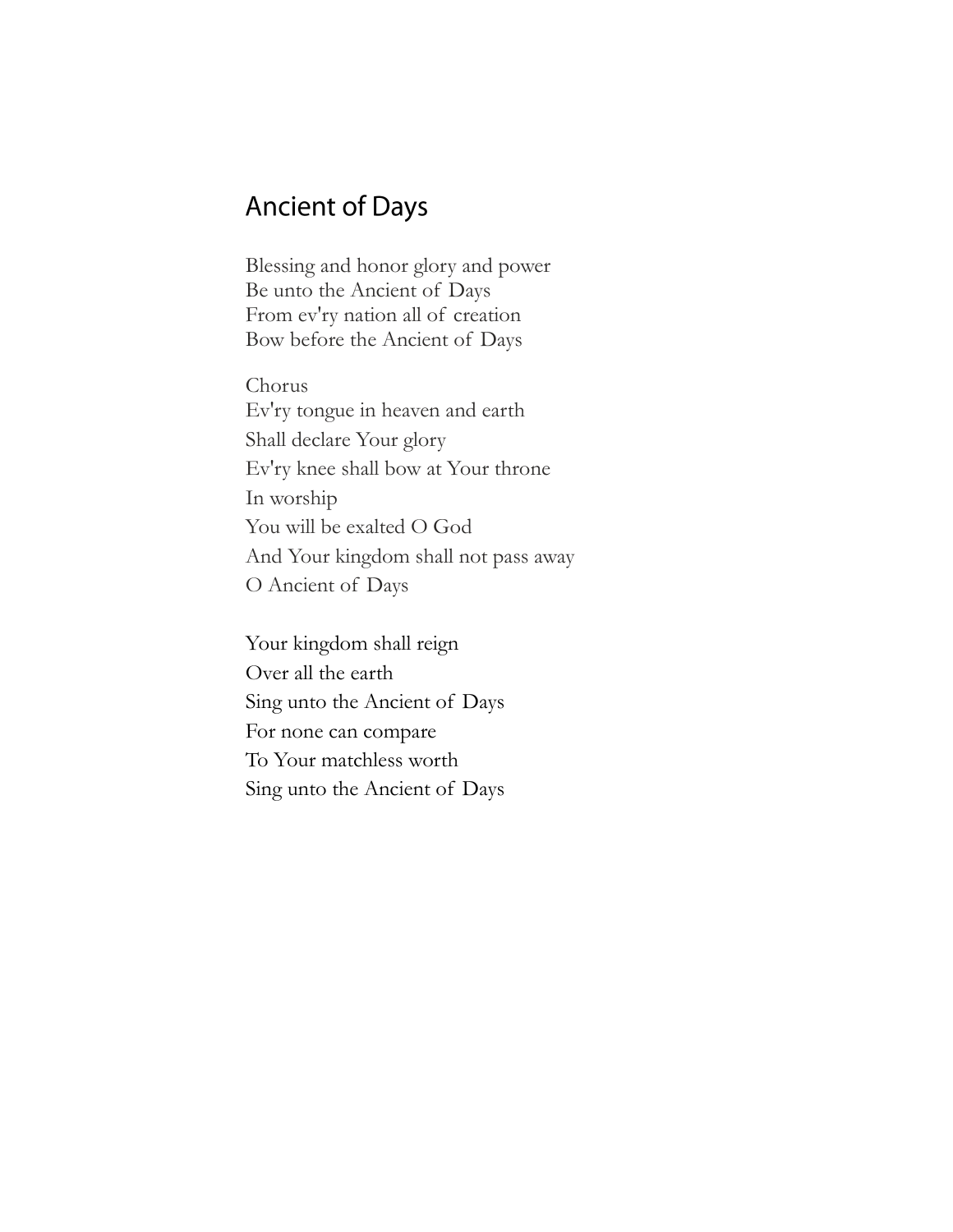### **Ancient of Days**

Blessing and honor glory and power Be unto the Ancient of Days From ev'ry nation all of creation Bow before the Ancient of Days

Chorus Ev'ry tongue in heaven and earth Shall declare Your glory Ev'ry knee shall bow at Your throne In worship You will be exalted O God And Your kingdom shall not pass away O Ancient of Days

Your kingdom shall reign Over all the earth Sing unto the Ancient of Days For none can compare To Your matchless worth Sing unto the Ancient of Days